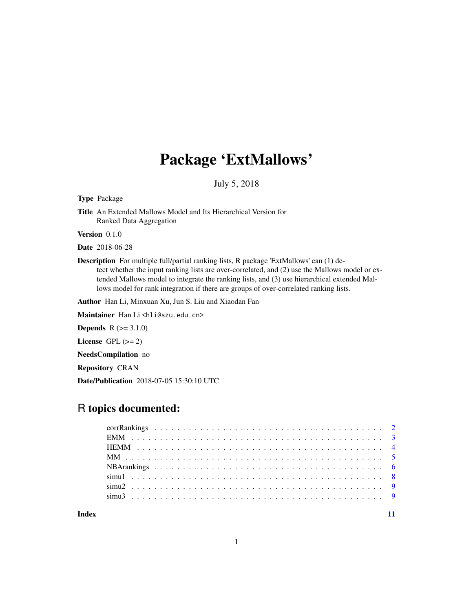# Package 'ExtMallows'

# July 5, 2018

Type Package

Title An Extended Mallows Model and Its Hierarchical Version for Ranked Data Aggregation

Version 0.1.0

Date 2018-06-28

Description For multiple full/partial ranking lists, R package 'ExtMallows' can (1) detect whether the input ranking lists are over-correlated, and (2) use the Mallows model or extended Mallows model to integrate the ranking lists, and (3) use hierarchical extended Mallows model for rank integration if there are groups of over-correlated ranking lists.

Author Han Li, Minxuan Xu, Jun S. Liu and Xiaodan Fan

Maintainer Han Li<hli@szu.edu.cn>

**Depends**  $R (=3.1.0)$ 

License GPL  $(>= 2)$ 

NeedsCompilation no

Repository CRAN

Date/Publication 2018-07-05 15:30:10 UTC

# R topics documented:

**Index** [11](#page-10-0)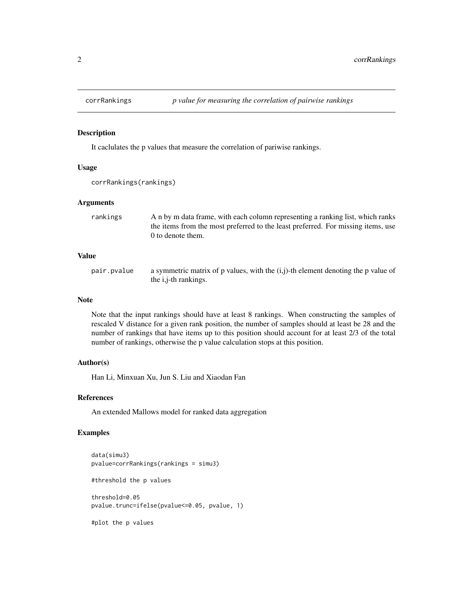<span id="page-1-0"></span>

#### Description

It caclulates the p values that measure the correlation of pariwise rankings.

#### Usage

```
corrRankings(rankings)
```
### Arguments

| the items from the most preferred to the least preferred. For missing items, use |
|----------------------------------------------------------------------------------|
|                                                                                  |
|                                                                                  |

#### Value

pair.pvalue a symmetric matrix of p values, with the  $(i,j)$ -th element denoting the p value of the i,j-th rankings.

#### Note

Note that the input rankings should have at least 8 rankings. When constructing the samples of rescaled V distance for a given rank position, the number of samples should at least be 28 and the number of rankings that have items up to this position should account for at least 2/3 of the total number of rankings, otherwise the p value calculation stops at this position.

#### Author(s)

Han Li, Minxuan Xu, Jun S. Liu and Xiaodan Fan

#### References

An extended Mallows model for ranked data aggregation

# Examples

```
data(simu3)
pvalue=corrRankings(rankings = simu3)
#threshold the p values
threshold=0.05
pvalue.trunc=ifelse(pvalue<=0.05, pvalue, 1)
#plot the p values
```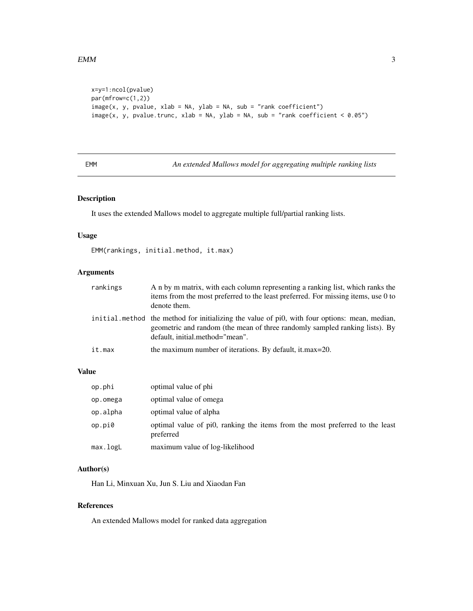```
x=y=1:ncol(pvalue)
par(mfrow=c(1,2))
image(x, y, pvalue, xlab = NA, ylab = NA, sub = "rank coefficient")image(x, y, pvalue.time, xlab = NA, ylab = NA, sub = "rank coefficient <math>0.05")</math>
```
EMM *An extended Mallows model for aggregating multiple ranking lists*

# Description

It uses the extended Mallows model to aggregate multiple full/partial ranking lists.

#### Usage

EMM(rankings, initial.method, it.max)

# Arguments

| rankings | A n by m matrix, with each column representing a ranking list, which ranks the<br>items from the most preferred to the least preferred. For missing items, use 0 to<br>denote them.                             |
|----------|-----------------------------------------------------------------------------------------------------------------------------------------------------------------------------------------------------------------|
|          | initial method the method for initializing the value of pi0, with four options: mean, median,<br>geometric and random (the mean of three randomly sampled ranking lists). By<br>default, initial.method="mean". |
| it.max   | the maximum number of iterations. By default, it max=20.                                                                                                                                                        |

# Value

| op.phi   | optimal value of phi                                                                      |
|----------|-------------------------------------------------------------------------------------------|
| op.omega | optimal value of omega                                                                    |
| op.alpha | optimal value of alpha                                                                    |
| op.pi0   | optimal value of pi0, ranking the items from the most preferred to the least<br>preferred |
| max.logL | maximum value of log-likelihood                                                           |

### Author(s)

Han Li, Minxuan Xu, Jun S. Liu and Xiaodan Fan

#### References

An extended Mallows model for ranked data aggregation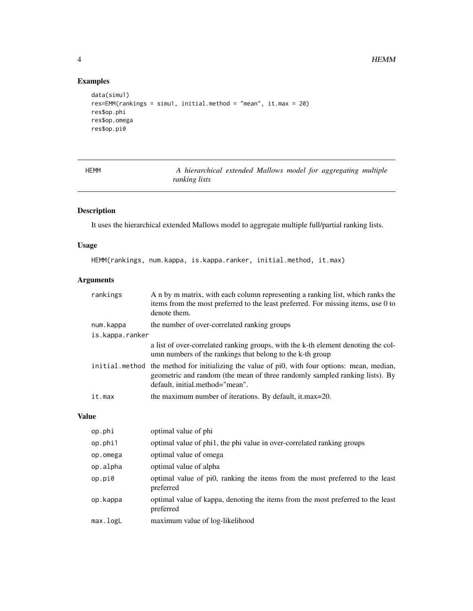# Examples

```
data(simu1)
res=EMM(rankings = simu1, initial.method = "mean", it.max = 20)
res$op.phi
res$op.omega
res$op.pi0
```

| ٠ |  | <b>Service Service</b> |
|---|--|------------------------|
|---|--|------------------------|

A hierarchical extended Mallows model for aggregating multiple *ranking lists*

# Description

It uses the hierarchical extended Mallows model to aggregate multiple full/partial ranking lists.

# Usage

HEMM(rankings, num.kappa, is.kappa.ranker, initial.method, it.max)

# Arguments

| rankings        | A n by m matrix, with each column representing a ranking list, which ranks the<br>items from the most preferred to the least preferred. For missing items, use 0 to<br>denote them.                             |
|-----------------|-----------------------------------------------------------------------------------------------------------------------------------------------------------------------------------------------------------------|
| num.kappa       | the number of over-correlated ranking groups                                                                                                                                                                    |
| is.kappa.ranker |                                                                                                                                                                                                                 |
|                 | a list of over-correlated ranking groups, with the k-th element denoting the col-<br>umn numbers of the rankings that belong to the k-th group                                                                  |
|                 | initial method the method for initializing the value of pi0, with four options: mean, median,<br>geometric and random (the mean of three randomly sampled ranking lists). By<br>default, initial.method="mean". |
| it.max          | the maximum number of iterations. By default, it.max=20.                                                                                                                                                        |

# Value

| op.phi   | optimal value of phi                                                                         |
|----------|----------------------------------------------------------------------------------------------|
| op.phi1  | optimal value of phi1, the phi value in over-correlated ranking groups                       |
| op.omega | optimal value of omega                                                                       |
| op.alpha | optimal value of alpha                                                                       |
| op.pi0   | optimal value of pi0, ranking the items from the most preferred to the least<br>preferred    |
| op.kappa | optimal value of kappa, denoting the items from the most preferred to the least<br>preferred |
| max.logL | maximum value of log-likelihood                                                              |

<span id="page-3-0"></span>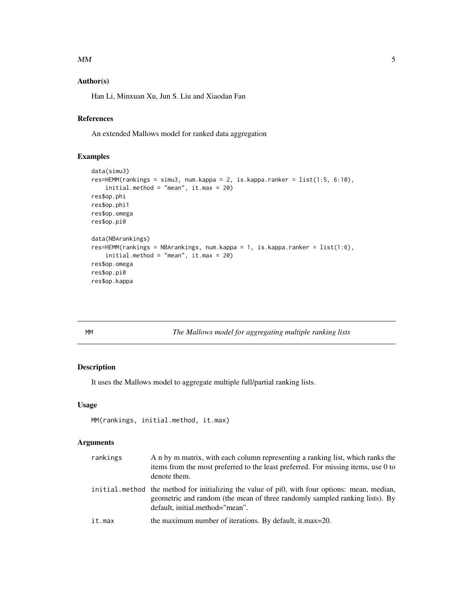#### <span id="page-4-0"></span> $MM$  5

# Author(s)

Han Li, Minxuan Xu, Jun S. Liu and Xiaodan Fan

# References

An extended Mallows model for ranked data aggregation

# Examples

```
data(simu3)
res=HEMM(rankings = simu3, num.kappa = 2, is.kappa.ranker = list(1:5, 6:10),
    initial.method = "mean", it.max = 20)
res$op.phi
res$op.phi1
res$op.omega
res$op.pi0
data(NBArankings)
res=HEMM(rankings = NBArankings, num.kappa = 1, is.kappa.ranker = list(1:6),
    initial.method = "mean", it.max = 20)
res$op.omega
res$op.pi0
res$op.kappa
```
MM *The Mallows model for aggregating multiple ranking lists*

# Description

It uses the Mallows model to aggregate multiple full/partial ranking lists.

#### Usage

```
MM(rankings, initial.method, it.max)
```
#### Arguments

| rankings | A n by m matrix, with each column representing a ranking list, which ranks the<br>items from the most preferred to the least preferred. For missing items, use 0 to<br>denote them.                             |
|----------|-----------------------------------------------------------------------------------------------------------------------------------------------------------------------------------------------------------------|
|          | initial method the method for initializing the value of pi0, with four options: mean, median,<br>geometric and random (the mean of three randomly sampled ranking lists). By<br>default, initial.method="mean". |
| it.max   | the maximum number of iterations. By default, it max=20.                                                                                                                                                        |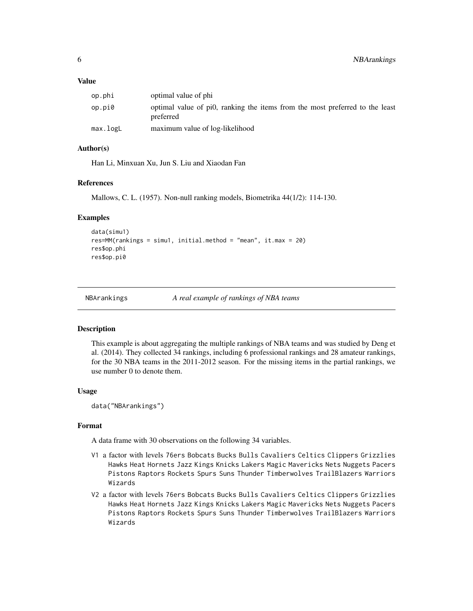#### <span id="page-5-0"></span>Value

| op.phi   | optimal value of phi                                                                      |
|----------|-------------------------------------------------------------------------------------------|
| op.pi0   | optimal value of pi0, ranking the items from the most preferred to the least<br>preferred |
| max.logL | maximum value of log-likelihood                                                           |

#### Author(s)

Han Li, Minxuan Xu, Jun S. Liu and Xiaodan Fan

#### References

Mallows, C. L. (1957). Non-null ranking models, Biometrika 44(1/2): 114-130.

#### Examples

```
data(simu1)
res=MM(rankings = simu1, initial.method = "mean", it.max = 20)
res$op.phi
res$op.pi0
```
NBArankings *A real example of rankings of NBA teams*

#### **Description**

This example is about aggregating the multiple rankings of NBA teams and was studied by Deng et al. (2014). They collected 34 rankings, including 6 professional rankings and 28 amateur rankings, for the 30 NBA teams in the 2011-2012 season. For the missing items in the partial rankings, we use number 0 to denote them.

#### Usage

```
data("NBArankings")
```
#### Format

A data frame with 30 observations on the following 34 variables.

- V1 a factor with levels 76ers Bobcats Bucks Bulls Cavaliers Celtics Clippers Grizzlies Hawks Heat Hornets Jazz Kings Knicks Lakers Magic Mavericks Nets Nuggets Pacers Pistons Raptors Rockets Spurs Suns Thunder Timberwolves TrailBlazers Warriors Wizards
- V2 a factor with levels 76ers Bobcats Bucks Bulls Cavaliers Celtics Clippers Grizzlies Hawks Heat Hornets Jazz Kings Knicks Lakers Magic Mavericks Nets Nuggets Pacers Pistons Raptors Rockets Spurs Suns Thunder Timberwolves TrailBlazers Warriors Wizards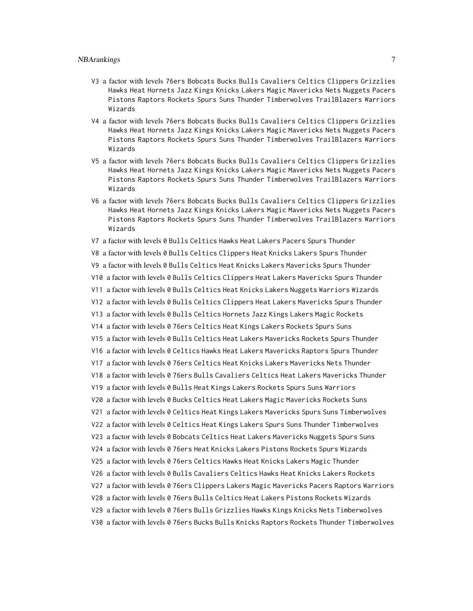#### NBArankings 7

- V3 a factor with levels 76ers Bobcats Bucks Bulls Cavaliers Celtics Clippers Grizzlies Hawks Heat Hornets Jazz Kings Knicks Lakers Magic Mavericks Nets Nuggets Pacers Pistons Raptors Rockets Spurs Suns Thunder Timberwolves TrailBlazers Warriors Wizards
- V4 a factor with levels 76ers Bobcats Bucks Bulls Cavaliers Celtics Clippers Grizzlies Hawks Heat Hornets Jazz Kings Knicks Lakers Magic Mavericks Nets Nuggets Pacers Pistons Raptors Rockets Spurs Suns Thunder Timberwolves TrailBlazers Warriors Wizards
- V5 a factor with levels 76ers Bobcats Bucks Bulls Cavaliers Celtics Clippers Grizzlies Hawks Heat Hornets Jazz Kings Knicks Lakers Magic Mavericks Nets Nuggets Pacers Pistons Raptors Rockets Spurs Suns Thunder Timberwolves TrailBlazers Warriors Wizards
- V6 a factor with levels 76ers Bobcats Bucks Bulls Cavaliers Celtics Clippers Grizzlies Hawks Heat Hornets Jazz Kings Knicks Lakers Magic Mavericks Nets Nuggets Pacers Pistons Raptors Rockets Spurs Suns Thunder Timberwolves TrailBlazers Warriors Wizards
- V7 a factor with levels 0 Bulls Celtics Hawks Heat Lakers Pacers Spurs Thunder
- V8 a factor with levels 0 Bulls Celtics Clippers Heat Knicks Lakers Spurs Thunder
- V9 a factor with levels 0 Bulls Celtics Heat Knicks Lakers Mavericks Spurs Thunder
- V10 a factor with levels 0 Bulls Celtics Clippers Heat Lakers Mavericks Spurs Thunder
- V11 a factor with levels 0 Bulls Celtics Heat Knicks Lakers Nuggets Warriors Wizards
- V12 a factor with levels 0 Bulls Celtics Clippers Heat Lakers Mavericks Spurs Thunder
- V13 a factor with levels 0 Bulls Celtics Hornets Jazz Kings Lakers Magic Rockets
- V14 a factor with levels 0 76ers Celtics Heat Kings Lakers Rockets Spurs Suns
- V15 a factor with levels 0 Bulls Celtics Heat Lakers Mavericks Rockets Spurs Thunder
- V16 a factor with levels 0 Celtics Hawks Heat Lakers Mavericks Raptors Spurs Thunder
- V17 a factor with levels 0 76ers Celtics Heat Knicks Lakers Mavericks Nets Thunder
- V18 a factor with levels 0 76ers Bulls Cavaliers Celtics Heat Lakers Mavericks Thunder
- V19 a factor with levels 0 Bulls Heat Kings Lakers Rockets Spurs Suns Warriors
- V20 a factor with levels 0 Bucks Celtics Heat Lakers Magic Mavericks Rockets Suns
- V21 a factor with levels 0 Celtics Heat Kings Lakers Mavericks Spurs Suns Timberwolves
- V22 a factor with levels 0 Celtics Heat Kings Lakers Spurs Suns Thunder Timberwolves
- V23 a factor with levels 0 Bobcats Celtics Heat Lakers Mavericks Nuggets Spurs Suns
- V24 a factor with levels 0 76ers Heat Knicks Lakers Pistons Rockets Spurs Wizards
- V25 a factor with levels 0 76ers Celtics Hawks Heat Knicks Lakers Magic Thunder
- V26 a factor with levels 0 Bulls Cavaliers Celtics Hawks Heat Knicks Lakers Rockets
- V27 a factor with levels 0 76ers Clippers Lakers Magic Mavericks Pacers Raptors Warriors
- V28 a factor with levels 0 76ers Bulls Celtics Heat Lakers Pistons Rockets Wizards
- V29 a factor with levels 0 76ers Bulls Grizzlies Hawks Kings Knicks Nets Timberwolves
- V30 a factor with levels 0 76ers Bucks Bulls Knicks Raptors Rockets Thunder Timberwolves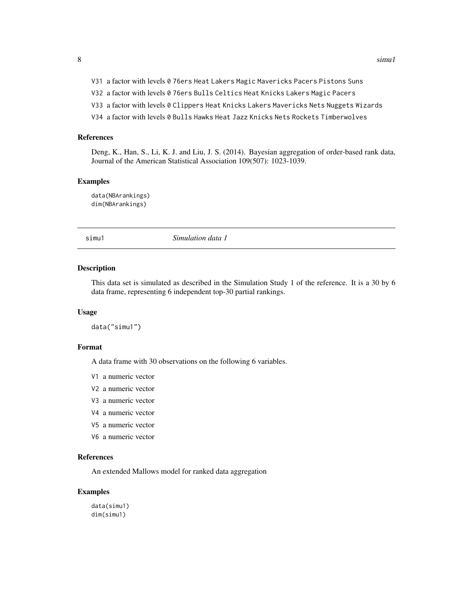- <span id="page-7-0"></span>V31 a factor with levels 0 76ers Heat Lakers Magic Mavericks Pacers Pistons Suns
- V32 a factor with levels 0 76ers Bulls Celtics Heat Knicks Lakers Magic Pacers
- V33 a factor with levels 0 Clippers Heat Knicks Lakers Mavericks Nets Nuggets Wizards
- V34 a factor with levels 0 Bulls Hawks Heat Jazz Knicks Nets Rockets Timberwolves

#### References

Deng, K., Han, S., Li, K. J. and Liu, J. S. (2014). Bayesian aggregation of order-based rank data, Journal of the American Statistical Association 109(507): 1023-1039.

#### Examples

data(NBArankings) dim(NBArankings)

simu1 *Simulation data 1*

#### Description

This data set is simulated as described in the Simulation Study 1 of the reference. It is a 30 by 6 data frame, representing 6 independent top-30 partial rankings.

#### Usage

data("simu1")

#### Format

A data frame with 30 observations on the following 6 variables.

- V1 a numeric vector
- V2 a numeric vector
- V3 a numeric vector
- V4 a numeric vector
- V5 a numeric vector
- V6 a numeric vector

#### References

An extended Mallows model for ranked data aggregation

#### Examples

data(simu1) dim(simu1)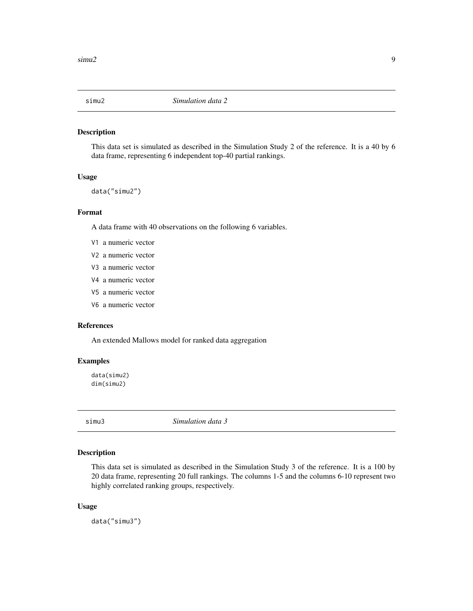<span id="page-8-0"></span>

#### Description

This data set is simulated as described in the Simulation Study 2 of the reference. It is a 40 by 6 data frame, representing 6 independent top-40 partial rankings.

#### Usage

data("simu2")

#### Format

A data frame with 40 observations on the following 6 variables.

- V1 a numeric vector
- V2 a numeric vector
- V3 a numeric vector
- V4 a numeric vector
- V5 a numeric vector
- V6 a numeric vector

#### References

An extended Mallows model for ranked data aggregation

# Examples

data(simu2) dim(simu2)

simu3 *Simulation data 3*

#### Description

This data set is simulated as described in the Simulation Study 3 of the reference. It is a 100 by 20 data frame, representing 20 full rankings. The columns 1-5 and the columns 6-10 represent two highly correlated ranking groups, respectively.

#### Usage

data("simu3")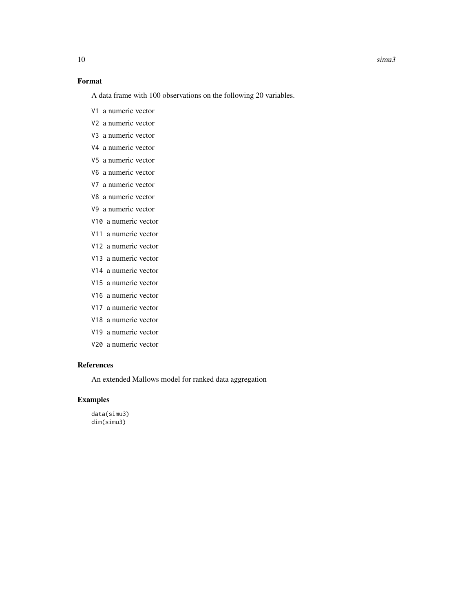# Format

A data frame with 100 observations on the following 20 variables.

- V1 a numeric vector
- V2 a numeric vector
- V3 a numeric vector
- V4 a numeric vector
- V5 a numeric vector
- V6 a numeric vector
- V7 a numeric vector
- V8 a numeric vector
- V9 a numeric vector
- V10 a numeric vector
- V11 a numeric vector
- V12 a numeric vector
- V13 a numeric vector
- V14 a numeric vector
- V15 a numeric vector
- V16 a numeric vector
- V17 a numeric vector
- V18 a numeric vector
- V19 a numeric vector
- V20 a numeric vector

#### References

An extended Mallows model for ranked data aggregation

#### Examples

data(simu3) dim(simu3)